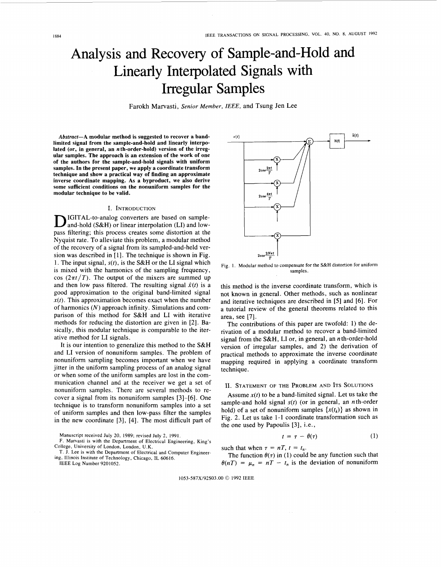# <span id="page-0-0"></span>Analysis and Recovery of Sample-and-Hold and Linearly Interpolated Signals with Irregular Samples

Farokh Marvasti. *Senior Member, IEEE,* and Tsung Jen Lee

*Abstract-A* **modular method is suggested to recover a bandlimited signal from the sample-and-hold and linearly interpolated (or, in general, an nth-order-hold) version of the irregular samples. The approach is an extension of the work of one of the authors for the sample-and-hold signals with uniform samples. In the present paper, we apply a coordinate transform technique and show a practical way of finding an approximate inverse coordinate mapping. As a byproduct, we also derive some sufficient conditions on the nonuniform samples for the modular technique to be valid.** 

## I. INTRODUCTION

IGITAL-to-analog converters are based on sample-<br>and-hold (S&H) or linear interpolation (LI) and lowpass filtering; this process creates some distortion at the Nyquist rate. To alleviate this problem, a modular method of the recovery of a signal from its sampled-and-held version was described in **[I].** The technique is shown in Fig. **1.** The input signal, *s(t),* is the **S&H** or the LI signal which is mixed with the harmonics of the sampling frequency, cos  $(2\pi t/T)$ . The output of the mixers are summed up and then low pass filtered. The resulting signal  $\hat{x}(t)$  is a good approximation to the original band-limited signal  $x(t)$ . This approximation becomes exact when the number of harmonics *(N)* approach infinity. Simulations and comparison of this method for **S&H** and LI with iterative methods for reducing the distortion are given in **[2].** Basically, this modular technique is comparable to the iterative method for LI signals.

It is our intention to generalize this method to the **S&H**  and LI version of nonuniform samples. The problem of nonuniform sampling becomes important when we have jitter in the uniform sampling process of an analog signal or when some of the uniform samples are lost in the communication channel and at the receiver we get a set of nonuniform samples. There are several methods to recover a signal from its nonuniform samples **[3]-[6].** One technique is to transform nonuniform samples into a set of uniform samples and then low-pass filter the samples in the new coordinate **[3], [4].** The most difficult part of

Manuscript received July 20, 1989; revised July 2, 1991.

- F. Marvasti is with the Department of Electrical Engineering, King's College, University of London, London, U.K.
- T. J. Lee is with the Department of Electrical and Computer Engineering, Illinois Institute of Technology, Chicago, IL 60616.

IEEE Log Number 9201052.



Fig. 1. Modular method to compensate for the **S&H** distortion **for** uniform samples.

this method is the inverse coordinate transform, which is not known in general. Other methods, such as nonlinear and iterative techniques are described in **[5]** and **[6].** For a tutorial review of the general theorems related to this area, see **[7].** 

The contributions of this paper are twofold: 1) the derivation of a modular method to recover a band-limited signal from the **S&H,** LI or, in general, an *n* th-order-hold version of irregular samples, and *2)* the derivation of practical methods to approximate the inverse coordinate mapping required in applying a coordinate transform technique.

#### **11.** STATEMENT OF THE PROBLEM **AND** ITS SOLUTIONS

Assume  $x(t)$  to be a band-limited signal. Let us take the sample-and hold signal *s(t)* (or in general, an *n* th-order hold) of a set of nonuniform samples  $\{x(t_k)\}\$ as shown in Fig. *2.* Let us take 1-1 coordinate transformation such as the one used by Papoulis **[3],** i.e.,

$$
t = \tau - \theta(\tau) \tag{1}
$$

such that when  $\tau = nT$ ,  $t = t_n$ .

The function  $\theta(\tau)$  in (1) could be any function such that  $\theta(nT) = \mu_n = nT - t_n$  is the deviation of nonuniform

1053-587X/92\$03.00 *0* 1992 IEEE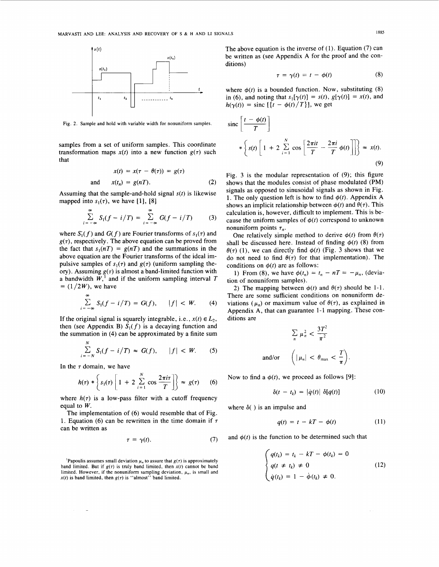

Fig. 2. Sample and hold with variable width for nonuniform samples.

samples from a set of uniform samples. This coordinate transformation maps  $x(t)$  into a new function  $g(\tau)$  such that

$$
x(t) = x(\tau - \theta(\tau)) = g(\tau)
$$
  
and 
$$
x(t_n) = g(nT).
$$
 (2)

Assuming that the sample-and-hold signal *s(t)* is likewise mapped into  $s_1(\tau)$ , we have [1], [8]

$$
\sum_{i=-\infty}^{\infty} S_i(f - i/T) = \sum_{i=-\infty}^{\infty} G(f - i/T) \qquad (3)
$$

where  $S_1(f)$  and  $G(f)$  are Fourier transforms of  $s_1(\tau)$  and  $g(\tau)$ , respectively. The above equation can be proved from the fact that  $s_1(nT) = g(nT)$  and the summations in the above equation are the Fourier transforms of the ideal impulsive samples of  $s_1(\tau)$  and  $g(\tau)$  (uniform sampling theory). Assuming  $g(\tau)$  is almost a band-limited function with a bandwidth  $W<sup>1</sup>$  and if the uniform sampling interval T  $= (1/2W)$ , we have

$$
\sum_{i=-\infty}^{\infty} S_i(f - i/T) = G(f), \qquad |f| < W. \tag{4}
$$

If the original signal is squarely integrable, i.e.,  $x(t) \in L_2$ , then (see Appendix B)  $S_1(f)$  is a decaying function and the summation in (4) can be approximated by a finite sum

$$
\sum_{i=-N}^{N} S_i(f - i/T) \approx G(f), \qquad |f| < W. \tag{5}
$$

In the *7* domain, we have

*N* 

$$
h(\tau) * \left\{ s_1(\tau) \left[ 1 + 2 \sum_{i=1}^N \cos \frac{2\pi i \tau}{T} \right] \right\} \approx g(\tau) \qquad (6)
$$

where  $h(\tau)$  is a low-pass filter with a cutoff frequency equal to *W.* 

The implementation of *(6)* would resemble that of [Fig.](#page-0-0) [1.](#page-0-0) Equation (6) can be rewritten in the time domain if  $\tau$ can be written as

$$
\tau = \gamma(t). \tag{7}
$$

The above equation is the inverse of (1). Equation (7) can be written as (see Appendix A for the proof and the conditions)

$$
\tau = \gamma(t) = t - \phi(t) \tag{8}
$$

where  $\phi(t)$  is a bounded function. Now, substituting (8) in (6), and noting that  $s_i[\gamma(t)] = s(t), g[\gamma(t)] = x(t)$ , and  $h(\gamma(t)) = \text{sinc} \left[ \frac{t - \phi(t)}{T} \right]$ , we get

$$
\operatorname{sinc}\left[\frac{t-\phi(t)}{T}\right]
$$
  
 
$$
*\left\{s(t)\left[1+2\sum_{i=1}^{N}\cos\left[\frac{2\pi it}{T}-\frac{2\pi i}{T}\phi(t)\right]\right]\right\} \approx x(t).
$$
  
(9)

Fig. *3* is the modular representation of (9); this figure shows that the modules consist of phase modulated **(PM)**  signals as opposed to sinusoidal signals as shown in [Fig.](#page-0-0) [1.](#page-0-0) The only question left is how to find  $\phi(t)$ . Appendix A shows an implicit relationship between  $\phi(t)$  and  $\theta(\tau)$ . This calculation is, however, difficult to implement. This is because the uniform samples of  $\phi(t)$  correspond to unknown nonuniform points  $\tau_n$ .

One relatively simple method to derive  $\phi(t)$  from  $\theta(\tau)$ shall be discussed here. Instead of finding  $\phi(t)$  (8) from  $\theta(\tau)$  (1), we can directly find  $\phi(t)$  [\(Fig.](#page-2-0) 3 shows that we do not need to find  $\theta(\tau)$  for that implementation). The conditions on  $\phi(t)$  are as follows:

**1)** From (8), we have  $\phi(t_n) = t_n - nT = -\mu_n$ , (deviation of nonuniform samples).

2) The mapping between  $\phi(t)$  and  $\theta(\tau)$  should be 1-1. There are some sufficient conditions on nonuniform deviations ( $\mu_n$ ) or maximum value of  $\theta(\tau)$ , as explained in Appendix A, that can guarantee **1-1** mapping. These conditions are

$$
\sum_{n} \mu_n^2 < \frac{3T^2}{\pi^2}
$$
\nand/or 
$$
\left( |\mu_n| < \theta_{\text{max}} < \frac{T}{\pi} \right).
$$

Now to find a  $\phi(t)$ , we proceed as follows [9]:

$$
\delta(t - t_k) = |\dot{q}(t)| \delta[q(t)] \tag{10}
$$

where  $\delta$ ( ) is an impulse and

$$
q(t) = t - kT - \phi(t) \tag{11}
$$

and  $\phi(t)$  is the function to be determined such that

$$
\begin{cases}\nq(t_k) = t_k - kT - \phi(t_k) = 0 \\
q(t \neq t_k) \neq 0 \\
\dot{q}(t_k) = 1 - \dot{\phi}(t_k) \neq 0.\n\end{cases}
$$
\n(12)

**<sup>&#</sup>x27;Papoulis assumes small deviation**  $\mu_n$  **to assure that**  $g(\tau)$  **is approximately** band limited. But if  $g(\tau)$  is truly band limited, then  $x(t)$  cannot be band limited. However, if the nonuniform sampling deviation,  $\mu_n$ , is small and  $x(t)$  is band limited, then  $g(\tau)$  is "almost" band limited.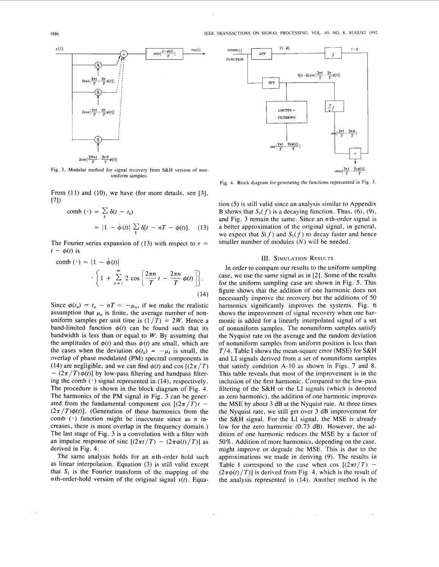<span id="page-2-0"></span>

Fig. **3.** Modular method for signal recovery from **S&H** version of nonuniform samples.

From  $(11)$  and  $(10)$ , we have (for more details, see [3], 171)

$$
\text{comb}\left(\cdot\right) = \sum_{k} \delta(t - t_k)
$$
\n
$$
= \left|1 - \dot{\phi}(t)\right| \sum_{k} \delta[t - nT - \dot{\phi}(t)]. \quad (13)
$$

The Fourier series expansion of (13) with respect to  $\tau =$  $t - \phi(t)$  is

comb 
$$
(\cdot) = |1 - \dot{\phi}(t)|
$$
  
\n
$$
\cdot \left\{ 1 + \sum_{n=1}^{\infty} 2 \cos \left[ \frac{2\pi n}{T} t - \frac{2\pi n}{T} \phi(t) \right] \right\}.
$$
\n(14)

Since  $\phi(t_n) = t_n - nT = -\mu_n$ , if we make the realistic assumption that  $\mu_n$  is finite, the average number of nonuniform samples per unit time is  $(1/T) = 2W$ . Hence a band-limited function  $\phi(t)$  can be found such that its bandwidth is less than or equal to *W.* By assuming that the amplitudes of  $\phi(t)$  and thus  $\dot{\phi}(t)$  are small, which are the cases when the deviation  $\phi(t_k) = -\mu_k$  is small, the overlap of phase modulated (PM) spectral components in (14) are negligible, and we can find  $\phi(t)$  and cos  $[(2\pi/T)]$  $-(2\pi/T)\phi(t)$  by low-pass filtering and bandpass filtering the comb  $(\cdot)$  signal represented in (14), respectively. The procedure is shown in the block diagram of Fig. **4.**  The harmonics of the PM signal in Fig. 3 can be generated from the fundamental component cos  $[(2\pi/T)t (2\pi/T)\phi(t)$ . (Generation of these harmonics from the comb  $(\cdot)$  function might be inaccurate since as *n* increases, there is more overlap in the frequency domain.) The last stage of Fig. **3** is a convolution with a filter with an impulse response of sinc  $[(2\pi t/T) - (2\pi\phi(t)/T)]$  as derived in Fig. 4.

The same analysis holds for an *n*th-order hold such as linear interpolation. Equation (3) is still valid except that  $S_1$  is the Fourier transform of the mapping of the *n*th-order-hold version of the original signal  $s(t)$ . Equa-



Fig. **4. Block** diagram for generating the functions represented in Fig. **3.** 

tion *(5)* is still valid since an analysis similar to Appendix B shows that  $S_1(f)$  is a decaying function. Thus, (6), (9), and Fig. 3 remain the same. Since an *n* th-order signal is a better approximation of the original signal, in general, we expect that  $S(f)$  and  $S_1(f)$  to decay faster and hence smaller number of modules *(N)* will be needed.

## **III. SIMULATION RESULTS**

In order to compare our results to the uniform sampling case, we use the same signal as in *[2].* Some of the results for the uniform sampling case are shown in [Fig.](#page-3-0) *5.* This figure shows that the addition of one harmonic does not necessarily improve the recovery but the additions of 50 harmonics significantly improves the systems. [Fig. 6](#page-3-0) shows the improvement of signal recovery when one harmonic is added for a linearly interpolated signal of a set of nonuniform samples. The nonuniform samples satisfy the Nyquist rate on the average and the random deviation of nonuniform samples from uniform position is less than *T/4.* Table I shows the mean-square error (MSE) for **S&H**  and LI signals derived from a set of nonuniform samples that satisfy condition A-10 as shown in [Figs. 7](#page-4-0) and 8. This table reveals that most of the improvement is in the inclusion of the first harmonic. Compared to the low-pass filtering of the **S&H** or the LI signals (which is denoted as zero harmonic), the addition of one harmonic improves the MSE by about 3 dB at the Nyquist rate. At three times the Nyquist rate, we still get over 3 dB improvement for the S&H signal. For the LI signal, the MSE is already low for the zero harmonic (0.73 dB). However, the addition of one harmonic reduces the MSE by a factor of 50%. Addition of more harmonics, depending on the case, might improve or degrade the MSE. This is due to the approximations we made in deriving (9). The results in Table I correspond to the case when cos  $\left[\frac{2\pi t}{T}\right]$  –  $(2\pi\phi(t)/T)$  is derived from Fig. 4, which is the result of the analysis represented in (14). Another method is the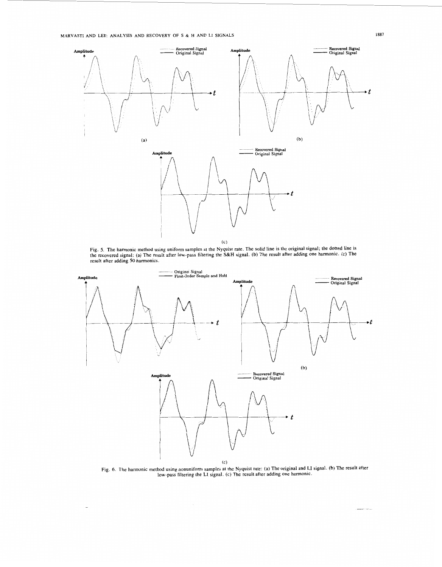# <span id="page-3-0"></span>**MARVASTI AND LEE: ANALYSIS AND RECOVERY OF S & H AND LI SIGNALS <b>***I887*



 $(c)$ 

Fig. 5. The harmonic method using uniform samples at the Nyquist rate. The solid line is the original signal; the dotted line is<br>the recovered signal: (a) The result after low-pass filtering the S&H signal. (b) The result



Fig. 6. The harmonic method using nonuniform samples at the Nyquist rate: (a) The original and LI signal. (b) The result after low-pass filtering the LI signal. (c) The result after adding one harmonic.

 $\omega$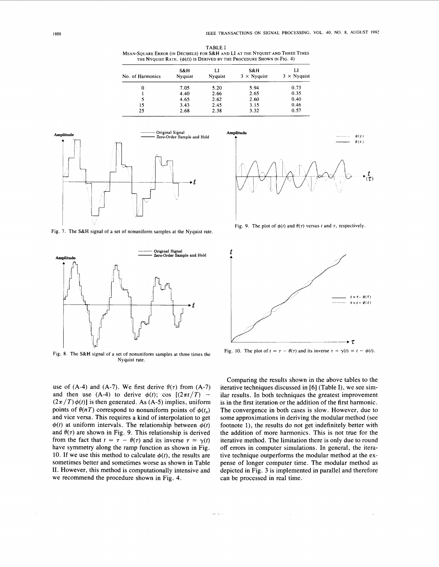<span id="page-4-0"></span>**TABLE** I **MEAN-SQUARE ERROR (IN DECIBELS) FOR S&H AND LI AT THE NYQUIST AND THREE TIMES**  THE NYQUIST RATE.  $(\phi(t))$  is DERIVED BY THE PROCEDURE SHOWN IN FIG. 4)

| No. of Harmonics | S&H<br><b>Nyquist</b> | LI<br><b>Nyquist</b> | S&H<br>$3 \times$ Nyquist | LI<br>$3 \times$ Nyquist |
|------------------|-----------------------|----------------------|---------------------------|--------------------------|
|                  |                       |                      |                           |                          |
|                  | 4.40                  | 2.66                 | 2.65                      | 0.35                     |
|                  | 4.65                  | 2.62                 | 2.60                      | 0.40                     |
| 15               | 3.43                  | 2.45                 | 3.15                      | 0.46                     |
| 25               | 2.68                  | 2.38                 | 3.32                      | 0.57                     |



**Fig. 7. The S&H signal of a set of nonuniform samples at the Nyquist rate.** 



**Fig. 8. The S&H signal of a set of nonuniform samples at three times the Fig. 10.** The plot of  $t = \tau - \theta(\tau)$  and its inverse  $\tau = \gamma(t) = t - \phi(t)$ . **Nyquist rate.** 

use of  $(A-4)$  and  $(A-7)$ . We first derive  $\theta(\tau)$  from  $(A-7)$ and then use (A-4) to derive  $\phi(t)$ ; cos  $\left[\frac{2\pi t}{T}\right]$  –  $(2\pi/T)\phi(t)$  is then generated. As (A-5) implies, uniform points of  $\theta(nT)$  correspond to nonuniform points of  $\phi(t_n)$ and vice versa. This requires a kind of interpolation to get  $\phi(t)$  at uniform intervals. The relationship between  $\phi(t)$ and  $\theta(\tau)$  are shown in Fig. 9. This relationship is derived from the fact that  $t = \tau - \theta(\tau)$  and its inverse  $\tau = \gamma(t)$ have symmetry along the ramp function as shown in Fig. 10. If we use this method to calculate  $\phi(t)$ , the results are sometimes better and sometimes worse as shown in Table 11. However, this method is computationally intensive and we recommend the procedure shown in Fig. **4.** 



**Fig. 9.** The plot of  $\phi(t)$  and  $\theta(\tau)$  versus *t* and  $\tau$ , respectively.



Comparing the results shown in the above tables to the iterative techniques discussed in [6] (Table I), we see similar results. In both techniques the greatest improvement is in the first iteration or the addition of the first harmonic. The convergence in both cases is slow. However, due to some approximations in deriving the modular method (see footnote l), the results do not get indefinitely better with the addition of more harmonics. This is not true for the iterative method. The limitation there is only due to round off errors in computer simulations. In general, the iterative technique outperforms the modular method at the expense of longer computer time. The modular method as depicted in [Fig.](#page-2-0) **3** is implemented in parallel and therefore can be processed in real time.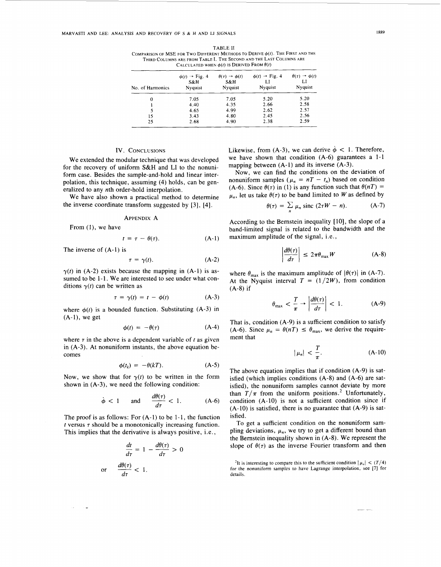**TABLE I1**  COMPARISON OF MSE FOR TWO DIFFERENT METHODS TO DERIVE  $\phi(t)$ . The FIRST AND THE **THIRD COLUMNS ARE FROM TABLE 1. THE SECOND AND THE LAST COLUMNS ARE**  CALCULATED WHEN  $\phi(t)$  is DERIVED FROM  $\theta(t)$ 

| No. of Harmonics | $\phi(t) \rightarrow$ Fig. 4<br>S&H<br>Nyquist | $\theta(\tau) \rightarrow \phi(t)$<br>S&H<br><b>Nyquist</b> | $\phi(t) \rightarrow$ Fig. 4<br>LI<br>Nyquist | $\theta(\tau) \rightarrow \phi(t)$<br>IJ<br>Nyquist |
|------------------|------------------------------------------------|-------------------------------------------------------------|-----------------------------------------------|-----------------------------------------------------|
| 0                | 7.05                                           | 7.05                                                        | 5.20                                          | 5.20                                                |
|                  | 4.40                                           | 4.35                                                        | 2.66                                          | 2.58                                                |
|                  | 4.65                                           | 4.99                                                        | 2.62                                          | 2.57                                                |
| 15               | 3.43                                           | 4.80                                                        | 2.45                                          | 2.56                                                |
| 25               | 2.68                                           | 4.90                                                        | 2.38                                          | 2.59                                                |

# **IV. CONCLUSIONS**

We extended the modular technique that was developed for the recovery of uniform **S&H** and LI to the nonuniform case. Besides the sample-and-hold and linear interpolation, this technique, assuming (4) holds, can be generalized to any nth order-hold interpolation.

We have also shown a practical method to determine the inverse coordinate transform suggested by [3], [4].

# **APPENDIX** A

From (I), we have

$$
t = \tau - \theta(\tau). \tag{A-1}
$$

The inverse of (A-1) is

$$
\tau = \gamma(t). \tag{A-2}
$$

 $\gamma(t)$  in (A-2) exists because the mapping in (A-1) is assumed to be 1-1. We are interested to see under what conditions  $\gamma(t)$  can be written as

$$
\tau = \gamma(t) = t - \phi(t) \tag{A-3}
$$

where  $\phi(t)$  is a bounded function. Substituting (A-3) in  $(A-1)$ , we get

$$
\phi(t) = -\theta(\tau) \tag{A-4}
$$

where  $\tau$  in the above is a dependent variable of  $t$  as given in (A-3). At nonuniform instants, the above equation becomes

$$
\phi(t_k) = -\theta(kT). \tag{A-5}
$$

Now, we show that for  $\gamma(t)$  to be written in the form shown in (A-3), we need the following condition:

$$
\dot{\phi} < 1
$$
 and  $\frac{d\theta(\tau)}{d\tau} < 1.$  (A-6)

The proof is as follows: For (A-1) to be 1-1, the function *t* versus *7* should be a monotonically increasing function. This implies that the derivative is always positive, i.e.,

$$
\frac{dt}{d\tau} = 1 - \frac{d\theta(\tau)}{d\tau} >
$$
\nor

\n
$$
\frac{d\theta(\tau)}{d\tau} < 1.
$$

Likewise, from (A-3), we can derive  $\dot{\phi}$  < 1. Therefore, we have shown that condition (A-6) guarantees a 1-1 mapping between (A-1) and its inverse (A-3).

Now, we can find the conditions on the deviation of nonuniform samples  $(\mu_n = nT - t_n)$  based on condition (A-6). Since  $\theta(\tau)$  in (1) is any function such that  $\theta(nT)$  =  $\mu_n$ , let us take  $\theta(\tau)$  to be band limited to *W* as defined by

$$
\theta(\tau) = \sum_{n} \mu_n \text{ sinc } (2\tau W - n). \tag{A-7}
$$

According to the Bernstein inequality [10], the slope of a band-limited signal is related to the bandwidth and the maximum amplitude of the signal, i.e.,

$$
\left|\frac{d\theta(\tau)}{d\tau}\right| \leq 2\pi\theta_{\text{max}}W \tag{A-8}
$$

where  $\theta_{\text{max}}$  is the maximum amplitude of  $|\theta(\tau)|$  in (A-7). At the Nyquist interval  $T = (1/2W)$ , from condition (A-8) if

$$
\theta_{\max} < \frac{T}{\pi} \to \left| \frac{d\theta(\tau)}{d\tau} \right| < 1. \tag{A-9}
$$

That is, condition (A-9) is a sufficient condition to satisfy (A-6). Since  $\mu_n = \theta(nT) \leq \theta_{\text{max}}$ , we derive the requirement that

$$
|\mu_n| < \frac{T}{\pi}.\tag{A-10}
$$

The above equation implies that if condition (A-9) is satisfied (which implies conditions (A-8) and (A-6) are satisfied), the nonuniform samples cannot deviate by more than  $T/\pi$  from the uniform positions.<sup>2</sup> Unfortunately, condition (A-10) is not a sufficient condition since if (A-10) is satisfied, there is no guarantee that (A-9) is satisfied.

To get a sufficient condition on the nonuniform sampling deviations,  $\mu_n$ , we try to get a different bound than the Bernstein inequality shown in (A-8). We represent the slope of  $\theta(\tau)$  as the inverse Fourier transform and then

<sup>&</sup>lt;sup>2</sup>It is interesting to compare this to the sufficient condition  $|\mu_n| < (T/4)$ for the nonuniform samples to have Lagrange interpolation, see [7] for details.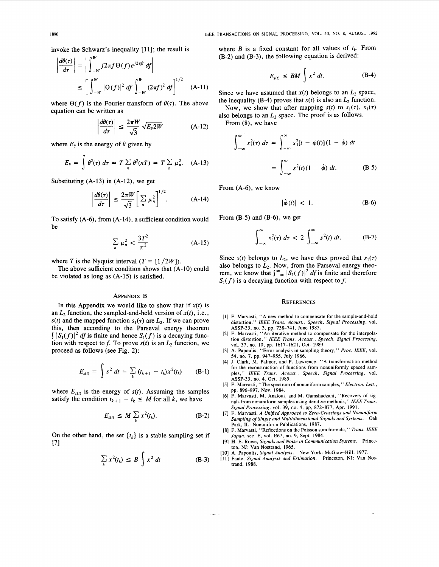invoke the Schwarz's inequality [11]; the result is

$$
\left| \frac{d\theta(\tau)}{d\tau} \right| = \left| \int_{-\pi}^{\pi} j2\pi f \Theta(f) e^{j2\pi ft} df \right|
$$
  

$$
\leq \left[ \int_{-\pi}^{\pi} |\Theta(f)|^2 df \int_{-\pi}^{\pi} (2\pi f)^2 df \right]^{1/2} (A-11)
$$

where  $\Theta(f)$  is the Fourier transform of  $\theta(\tau)$ . The above equation can be written as

$$
\left|\frac{d\theta(\tau)}{d\tau}\right| \le \frac{2\pi W}{\sqrt{3}} \sqrt{E_{\theta} 2W} \tag{A-12}
$$

where  $E_{\theta}$  is the energy of  $\theta$  given by

$$
E_{\theta} = \int \theta^2(\tau) d\tau = T \sum_n \theta^2(nT) = T \sum_n \mu_n^2. \quad (A-13)
$$

Substituting (A-13) in **(A-12),** we get

$$
\left|\frac{d\theta(\tau)}{d\tau}\right| \le \frac{2\pi W}{\sqrt{3}} \left[\sum_n \mu_n^2\right]^{1/2}.\tag{A-14}
$$

TO satisfy **(A-6),** from **(A- 14),** a sufficient condition would be

$$
\sum_{n} \mu_n^2 < \frac{3T^2}{\pi^2} \tag{A-15}
$$

where T is the Nyquist interval  $(T = [1/2W])$ .

be violated as long as **(A-15)** is satisfied. The above sufficient condition shows that (A-10) could

## APPENDIX **B**

In this Appendix we would like to show that if  $x(t)$  is an  $L_2$  function, the sampled-and-held version of  $x(t)$ , i.e.,  $s(t)$  and the mapped function  $s_1(\tau)$  are  $L_2$ . If we can prove this, then according to the Parseval energy theorem  $\int |S_1(f)|^2 df$  is finite and hence  $S_1(f)$  is a decaying function with respect to f. To prove  $s(t)$  is an  $L_2$  function, we proceed as follows (see Fig. **2):** 

$$
E_{s(t)} = \int s^2 dt = \sum_k (t_{k+1} - t_k) x^2(t_k)
$$
 (B-1)

where  $E_{s(t)}$  is the energy of  $s(t)$ . Assuming the samples satisfy the condition  $t_{k+1} - t_k \leq M$  for all k, we have

$$
E_{s(t)} \leq M \sum_{k} x^2(t_k). \tag{B-2}
$$

On the other hand, the set  $\{t_k\}$  is a stable sampling set if **[71** 

$$
\sum_{k} x^{2}(t_{k}) \leq B \int x^{2} dt
$$
 (B-3)

where B is a fixed constant for all values of  $t_k$ . From  $(B-2)$  and  $(B-3)$ , the following equation is derived:

$$
E_{s(t)} \le BM \int x^2 dt. \tag{B-4}
$$

Since we have assumed that  $x(t)$  belongs to an  $L_2$  space, the inequality (B-4) proves that  $s(t)$  is also an  $L_2$  function. Now, we show that after mapping  $s(t)$  to  $s_1(\tau)$ ,  $s_1(\tau)$ 

also belongs to an  $L_2$  space. The proof is as follows.

From **(8),** we have

$$
\int_{-\infty}^{\infty} s_1^2(\tau) d\tau = \int_{-\infty}^{\infty} s_1^2[t - \phi(t)] (1 - \dot{\phi}) dt
$$

$$
= \int_{-\infty}^{\infty} s^2(t) (1 - \dot{\phi}) dt. \qquad (B-5)
$$

From **(A-6),** we know

$$
|\dot{\phi}(t)| < 1. \tag{B-6}
$$

From  $(B-5)$  and  $(B-6)$ , we get

(A-15)

\n
$$
\int_{-\infty}^{\infty} s_1^2(\tau) \, d\tau < 2 \int_{-\infty}^{\infty} s^2(t) \, dt. \tag{B-7}
$$

Since  $s(t)$  belongs to  $L_2$ , we have thus proved that  $s_1(\tau)$ also belongs to  $L_2$ . Now, from the Parseval energy theorem, we know that  $\int_{-\infty}^{\infty} |S_1(f)|^2 df$  is finite and therefore  $S_1(f)$  is a decaying function with respect to f.

### **REFERENCES**

- [l] F. Marvasti, "A new method to compensate for the sample-and-hold
- distortion," IEEE Trans. Acoust., Speech, Signal Processing, vol.<br>ASSP-33, no. 3, pp. 738-741, June 1985.<br>[2] F. Marvasti, "An iterative method to compensate for the interpola-<br>tion distortion," IEEE Trans. Acoust., Speech
- [3] A. Papoulis, "Error analysis in sampling theory," *Proc. IEEE,* vol. 54, no. 7, pp. 947-955, July 1966.
- [4] J. Clark, M. Palmer, and P. Lawrence, "A transformation method for the reconstruction of functions from nonuniformly spaced samples," *IEEE Trans. Acoust., Speech, Signal Processing,* vol.
- ASSP-33, no. 4, Oct. 1985. [5] F. Marvasti, "The spectrum of nonuniform samples," *Electron. Lett.,*  pp. 896-897, NOV. 1984.
- [6] F. Marvasti, M. Analoui, and M. Gamshadzahi, "Recovery of signals from nonuniform samples using iterative methods," *IEEE Trans. Signal Processing,* vol. 39, no. **4,** pp. 872-877, Apr. 1991.
- [7] F. Marvasti, *A Vnijed Approach to Zero-Crossings and Nonuniform Sampling of Single and Multidimensional Signals and Systems.* Oak Park, IL: Nonuniform Publications, 1987.
- [8] F. Marvasti, "Reflections on the Poisson sum formula," *Trans. IEEE Japan,* sec. E, vol. E67, no. 9, Sept. 1984.
- [9] **H.** E. Rowe, *Signals and Noise in Communication Systems.* Princeton, NJ: Van Nostrand, 1965.
- [lo] A. Papoulis, *Signal Analysis.*  New York: McGraw-Hill, 1977.
- [ll] Fante, *Signal Analysis and Estimation.*  Princeton, NJ: Van Nostrand, 1988.